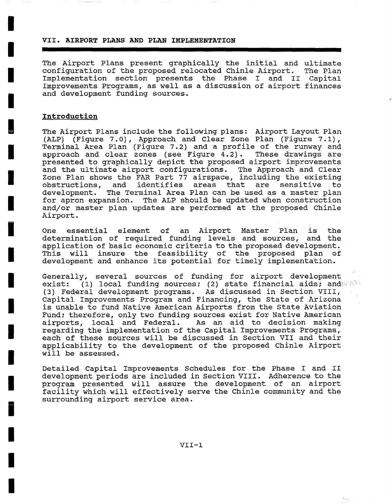**VII. AIRPORT PLANS AND PLAN IMPLEMENTATION** 

The Airport Plans present graphically the initial and ultimate configuration of the proposed relocated Chinle Airport. The Plan Implementation section presents the Phase I and II Capital Improvements Programs, as well as a discussion of airport finances and development funding sources.

#### **Introduction**

**I** 

**I** 

**I** 

**I** 

**g** 

**I** 

**I** 

**I** 

**i** 

**I** 

**I** 

**I** 

**I** 

**I** 

**I** 

**i** 

**I** 

**I** 

**I** 

The Airport Plans include the following plans: Airport Layout Plan (ALP) (Figure 7.0), Approach and Clear Zone Plan (Figure 7.1), Terminal Area Plan (Figure 7.2) and a profile of the runway and approach and clear zones (see Figure  $\overline{4.2}$ ). These drawings are presented to graphically depict the proposed airport improvements and the ultimate airport configurations. The Approach and Clear Zone Plan shows the FAR Part 77 airspace, including the existing obstructions, and identifies areas that are sensitive to development. The Terminal Area Plan can be used as a master plan for apron expansion. The ALP should be updated when construction and/or master plan updates are performed at the proposed Chinle Airport.

One essential element of an Airport Master Plan is the determination of required funding levels and sources, and the application of basic economic criteria to the proposed development. This will insure the feasibility of the proposed plan of development and enhance its potential for timely implementation.

Generally, several sources of funding for airport development exist: (1) local funding sources; (2) state financial aids; and (3) Federal development programs. As discussed in Section VIII, Capital Improvements Program and Financing, the State of Arizona is unable to fund Native American Airports from the State Aviation Fund; therefore, only two funding sources exist for Native American airports, local and Federal. As an aid to decision making regarding the implementation of the Capital Improvements Programs, each of these sources will be discussed in Section VII and their applicability to the development of the proposed Chinle Airport will be assessed.

Detailed Capital Improvements Schedules for the Phase I and II development periods are included in Section VIII. Adherence to the program presented will assure the development of an airport facility which will effectively serve the Chinle community and the surrounding airport service area.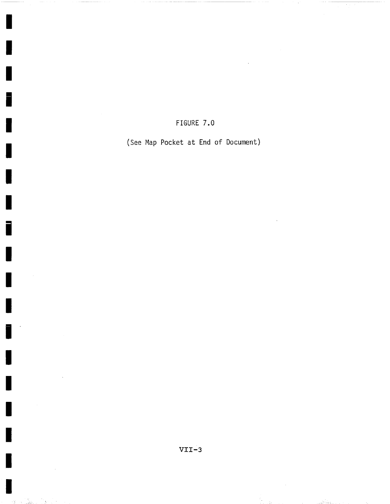### FIGURE 7.0

(See Map Pocket at End of Document)

**A** 

ί. . Sal

u Seest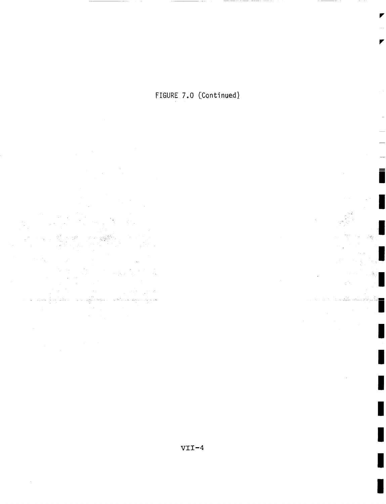FIGURE 7.0 (Continued)

yn.

الأوكوب

 $\label{eq:3.1} \frac{1}{\sqrt{2}}\sum_{i=1}^{n-1}\frac{1}{2} \sum_{i=1}^{n-1} \frac{1}{2} \sum_{i=1}^{n-1} \frac{1}{2} \sum_{i=1}^{n-1} \frac{1}{2} \sum_{i=1}^{n-1} \frac{1}{2} \sum_{i=1}^{n-1} \frac{1}{2} \sum_{i=1}^{n-1} \frac{1}{2} \sum_{i=1}^{n-1} \frac{1}{2} \sum_{i=1}^{n-1} \frac{1}{2} \sum_{i=1}^{n-1} \frac{1}{2} \sum_{i=1}^{n-1}$  $\frac{1}{\sqrt{2}}\frac{1}{\sqrt{2}}\left(\frac{1}{2}\right)^2$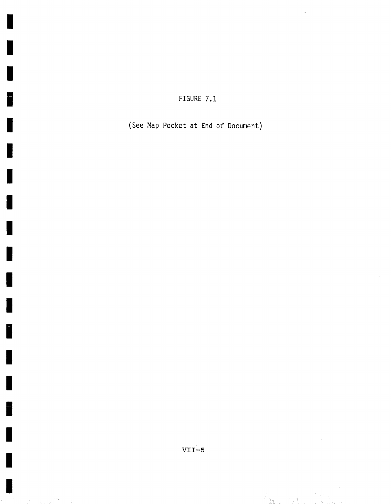### FIGURE 7.1

(See Map Pocket at End of Document)

I

F

I

ļ.

E

 $\sim \phi_{\rm{sys}}$ ing a shekarar 1



a<br>Kapaten Ing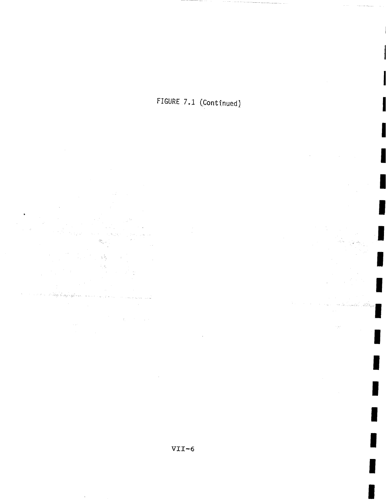





ÿ.